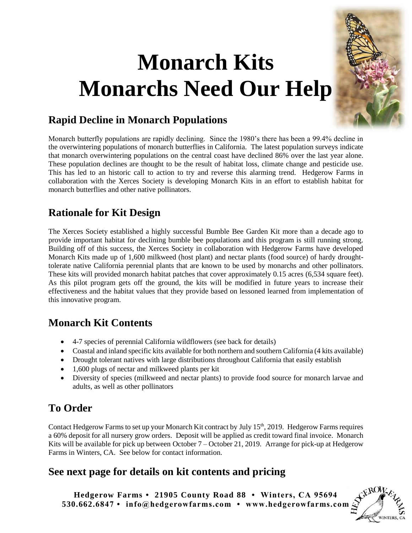# **Monarch Kits Monarchs Need Our Help**



#### **Rapid Decline in Monarch Populations**

Monarch butterfly populations are rapidly declining. Since the 1980's there has been a 99.4% decline in the overwintering populations of monarch butterflies in California. The latest population surveys indicate that monarch overwintering populations on the central coast have declined 86% over the last year alone. These population declines are thought to be the result of habitat loss, climate change and pesticide use. This has led to an historic call to action to try and reverse this alarming trend. Hedgerow Farms in collaboration with the Xerces Society is developing Monarch Kits in an effort to establish habitat for monarch butterflies and other native pollinators.

## **Rationale for Kit Design**

The Xerces Society established a highly successful Bumble Bee Garden Kit more than a decade ago to provide important habitat for declining bumble bee populations and this program is still running strong. Building off of this success, the Xerces Society in collaboration with Hedgerow Farms have developed Monarch Kits made up of 1,600 milkweed (host plant) and nectar plants (food source) of hardy droughttolerate native California perennial plants that are known to be used by monarchs and other pollinators. These kits will provided monarch habitat patches that cover approximately 0.15 acres (6,534 square feet). As this pilot program gets off the ground, the kits will be modified in future years to increase their effectiveness and the habitat values that they provide based on lessoned learned from implementation of this innovative program.

## **Monarch Kit Contents**

- 4-7 species of perennial California wildflowers (see back for details)
- Coastal and inland specific kits available for both northern and southern California (4 kits available)
- Drought tolerant natives with large distributions throughout California that easily establish
- 1,600 plugs of nectar and milkweed plants per kit
- Diversity of species (milkweed and nectar plants) to provide food source for monarch larvae and adults, as well as other pollinators

## **To Order**

Contact Hedgerow Farms to set up your Monarch Kit contract by July 15<sup>th</sup>, 2019. Hedgerow Farms requires a 60% deposit for all nursery grow orders. Deposit will be applied as credit toward final invoice. Monarch Kits will be available for pick up between October 7 – October 21, 2019.Arrange for pick-up at Hedgerow Farms in Winters, CA. See below for contact information.

## **See next page for details on kit contents and pricing**

**Hedgerow Farms • 21905 County Road 88 • Winters, CA 95694 530.662.6847 • info@hedgerowfarms.com • www.hedgerowfarms.com**